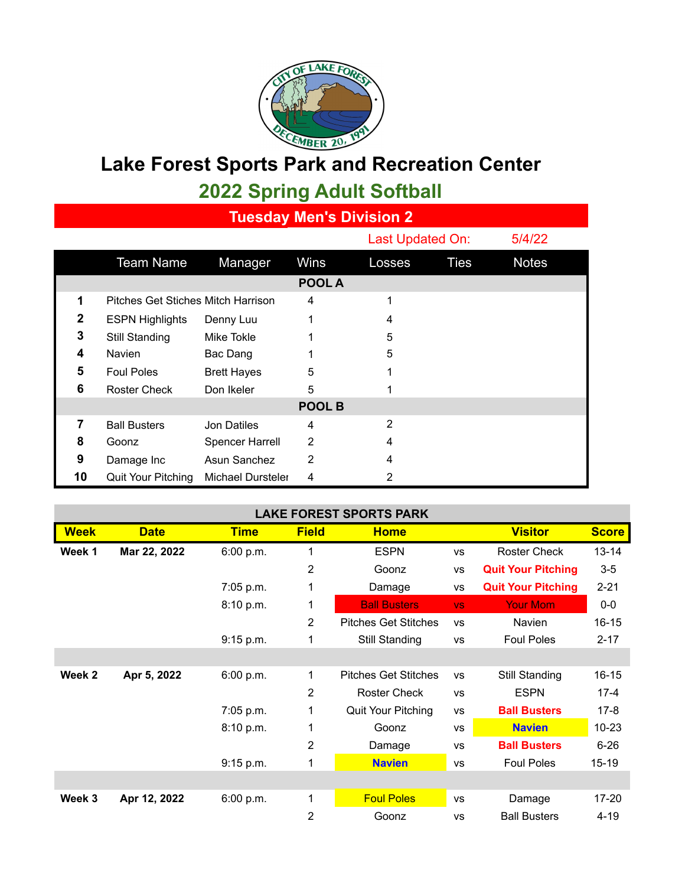

## **Lake Forest Sports Park and Recreation Center 2022 Spring Adult Softball**

**Tuesday Men's Division 2**

|                |                                    |                        |             | Last Updated On: |             | 5/4/22       |  |  |
|----------------|------------------------------------|------------------------|-------------|------------------|-------------|--------------|--|--|
|                | <b>Team Name</b>                   | Manager                | <b>Wins</b> | Losses           | <b>Ties</b> | <b>Notes</b> |  |  |
|                |                                    |                        | POOL A      |                  |             |              |  |  |
| 1              | Pitches Get Stiches Mitch Harrison |                        | 4           |                  |             |              |  |  |
| $\mathbf{2}$   | <b>ESPN Highlights</b>             | Denny Luu              |             | 4                |             |              |  |  |
| 3              | Still Standing                     | Mike Tokle             |             | 5                |             |              |  |  |
| 4              | <b>Navien</b>                      | Bac Dang               |             | 5                |             |              |  |  |
| 5              | <b>Foul Poles</b>                  | <b>Brett Hayes</b>     | 5           |                  |             |              |  |  |
| 6              | <b>Roster Check</b>                | Don Ikeler             | 5           |                  |             |              |  |  |
| <b>POOL B</b>  |                                    |                        |             |                  |             |              |  |  |
| $\overline{7}$ | <b>Ball Busters</b>                | Jon Datiles            | 4           | 2                |             |              |  |  |
| 8              | Goonz                              | <b>Spencer Harrell</b> | 2           | 4                |             |              |  |  |
| 9              | Damage Inc                         | Asun Sanchez           | 2           | 4                |             |              |  |  |
| 10             | <b>Quit Your Pitching</b>          | Michael Dursteler      | 4           | 2                |             |              |  |  |

| <b>LAKE FOREST SPORTS PARK</b> |              |             |                |                             |           |                           |              |  |  |
|--------------------------------|--------------|-------------|----------------|-----------------------------|-----------|---------------------------|--------------|--|--|
| <b>Week</b>                    | <b>Date</b>  | <b>Time</b> | <b>Field</b>   | <b>Home</b>                 |           | <b>Visitor</b>            | <b>Score</b> |  |  |
| Week 1                         | Mar 22, 2022 | 6:00 p.m.   | 1              | <b>ESPN</b>                 | <b>VS</b> | <b>Roster Check</b>       | $13 - 14$    |  |  |
|                                |              |             | $\overline{2}$ | Goonz                       | <b>VS</b> | <b>Quit Your Pitching</b> | $3-5$        |  |  |
|                                |              | 7:05 p.m.   | 1              | Damage                      | <b>VS</b> | <b>Quit Your Pitching</b> | $2 - 21$     |  |  |
|                                |              | 8:10 p.m.   | 1              | <b>Ball Busters</b>         | <b>VS</b> | <b>Your Mom</b>           | $0-0$        |  |  |
|                                |              |             | 2              | <b>Pitches Get Stitches</b> | <b>VS</b> | <b>Navien</b>             | $16 - 15$    |  |  |
|                                |              | 9:15 p.m.   | 1              | Still Standing              | <b>VS</b> | <b>Foul Poles</b>         | $2 - 17$     |  |  |
|                                |              |             |                |                             |           |                           |              |  |  |
| Week 2                         | Apr 5, 2022  | 6:00 p.m.   | 1              | <b>Pitches Get Stitches</b> | <b>VS</b> | Still Standing            | $16 - 15$    |  |  |
|                                |              |             | 2              | <b>Roster Check</b>         | <b>VS</b> | <b>ESPN</b>               | $17 - 4$     |  |  |
|                                |              | 7:05 p.m.   | 1              | Quit Your Pitching          | <b>VS</b> | <b>Ball Busters</b>       | $17-8$       |  |  |
|                                |              | 8:10 p.m.   | 1              | Goonz                       | <b>VS</b> | <b>Navien</b>             | $10 - 23$    |  |  |
|                                |              |             | $\overline{2}$ | Damage                      | <b>VS</b> | <b>Ball Busters</b>       | $6 - 26$     |  |  |
|                                |              | 9:15 p.m.   | 1              | <b>Navien</b>               | <b>VS</b> | <b>Foul Poles</b>         | $15 - 19$    |  |  |
|                                |              |             |                |                             |           |                           |              |  |  |
| Week 3                         | Apr 12, 2022 | 6:00 p.m.   | 1              | <b>Foul Poles</b>           | <b>VS</b> | Damage                    | 17-20        |  |  |
|                                |              |             | 2              | Goonz                       | <b>VS</b> | <b>Ball Busters</b>       | $4 - 19$     |  |  |